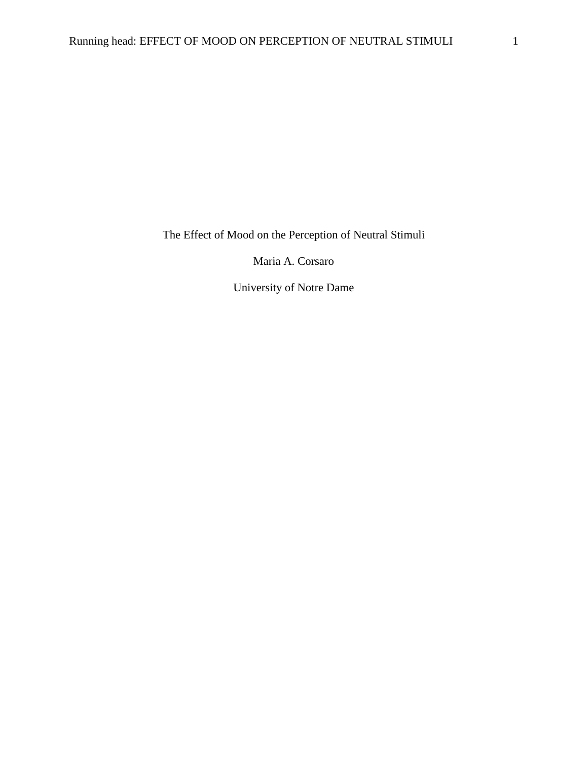The Effect of Mood on the Perception of Neutral Stimuli

Maria A. Corsaro

University of Notre Dame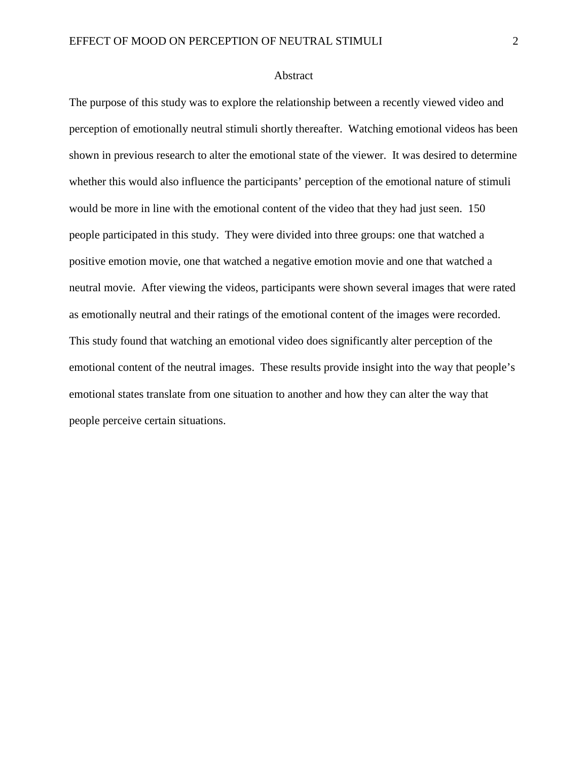#### Abstract

The purpose of this study was to explore the relationship between a recently viewed video and perception of emotionally neutral stimuli shortly thereafter. Watching emotional videos has been shown in previous research to alter the emotional state of the viewer. It was desired to determine whether this would also influence the participants' perception of the emotional nature of stimuli would be more in line with the emotional content of the video that they had just seen. 150 people participated in this study. They were divided into three groups: one that watched a positive emotion movie, one that watched a negative emotion movie and one that watched a neutral movie. After viewing the videos, participants were shown several images that were rated as emotionally neutral and their ratings of the emotional content of the images were recorded. This study found that watching an emotional video does significantly alter perception of the emotional content of the neutral images. These results provide insight into the way that people's emotional states translate from one situation to another and how they can alter the way that people perceive certain situations.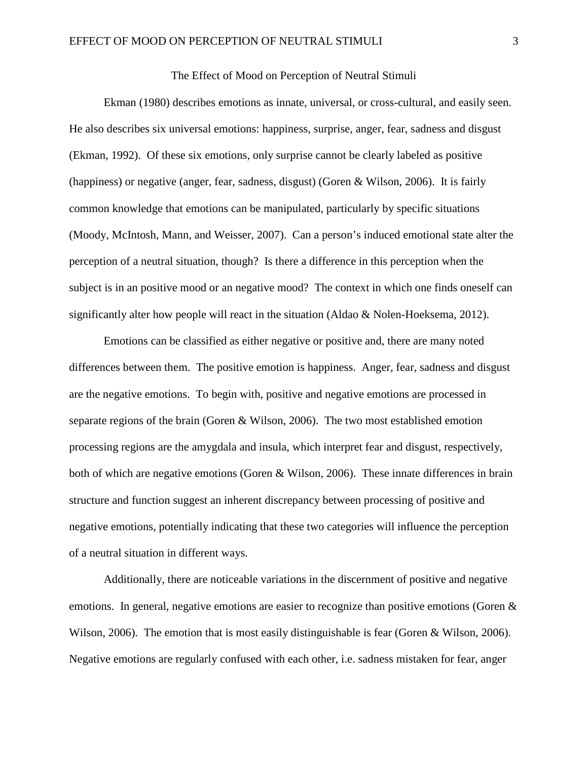### The Effect of Mood on Perception of Neutral Stimuli

Ekman (1980) describes emotions as innate, universal, or cross-cultural, and easily seen. He also describes six universal emotions: happiness, surprise, anger, fear, sadness and disgust (Ekman, 1992). Of these six emotions, only surprise cannot be clearly labeled as positive (happiness) or negative (anger, fear, sadness, disgust) (Goren & Wilson, 2006). It is fairly common knowledge that emotions can be manipulated, particularly by specific situations (Moody, McIntosh, Mann, and Weisser, 2007). Can a person's induced emotional state alter the perception of a neutral situation, though? Is there a difference in this perception when the subject is in an positive mood or an negative mood? The context in which one finds oneself can significantly alter how people will react in the situation (Aldao & Nolen-Hoeksema, 2012).

Emotions can be classified as either negative or positive and, there are many noted differences between them. The positive emotion is happiness. Anger, fear, sadness and disgust are the negative emotions. To begin with, positive and negative emotions are processed in separate regions of the brain (Goren & Wilson, 2006). The two most established emotion processing regions are the amygdala and insula, which interpret fear and disgust, respectively, both of which are negative emotions (Goren & Wilson, 2006). These innate differences in brain structure and function suggest an inherent discrepancy between processing of positive and negative emotions, potentially indicating that these two categories will influence the perception of a neutral situation in different ways.

Additionally, there are noticeable variations in the discernment of positive and negative emotions. In general, negative emotions are easier to recognize than positive emotions (Goren & Wilson, 2006). The emotion that is most easily distinguishable is fear (Goren & Wilson, 2006). Negative emotions are regularly confused with each other, i.e. sadness mistaken for fear, anger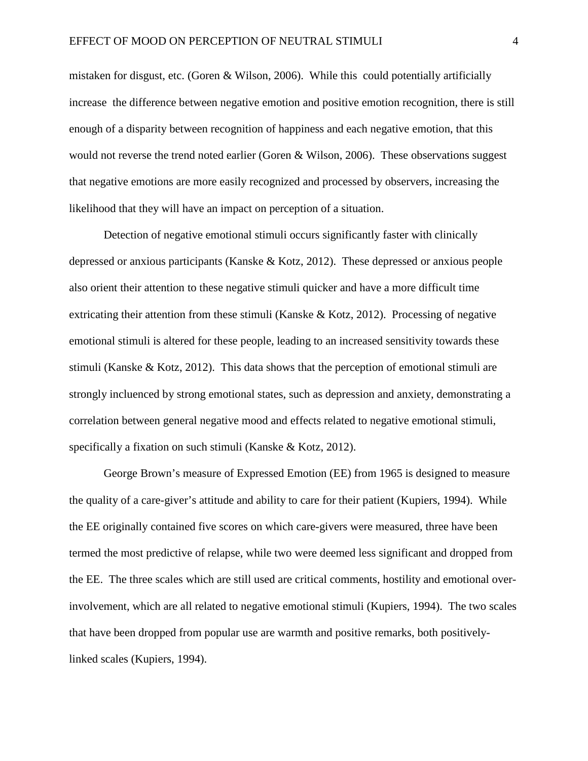mistaken for disgust, etc. (Goren & Wilson, 2006). While this could potentially artificially increase the difference between negative emotion and positive emotion recognition, there is still enough of a disparity between recognition of happiness and each negative emotion, that this would not reverse the trend noted earlier (Goren & Wilson, 2006). These observations suggest that negative emotions are more easily recognized and processed by observers, increasing the likelihood that they will have an impact on perception of a situation.

Detection of negative emotional stimuli occurs significantly faster with clinically depressed or anxious participants (Kanske & Kotz, 2012). These depressed or anxious people also orient their attention to these negative stimuli quicker and have a more difficult time extricating their attention from these stimuli (Kanske & Kotz, 2012). Processing of negative emotional stimuli is altered for these people, leading to an increased sensitivity towards these stimuli (Kanske  $\&$  Kotz, 2012). This data shows that the perception of emotional stimuli are strongly incluenced by strong emotional states, such as depression and anxiety, demonstrating a correlation between general negative mood and effects related to negative emotional stimuli, specifically a fixation on such stimuli (Kanske & Kotz, 2012).

George Brown's measure of Expressed Emotion (EE) from 1965 is designed to measure the quality of a care-giver's attitude and ability to care for their patient (Kupiers, 1994). While the EE originally contained five scores on which care-givers were measured, three have been termed the most predictive of relapse, while two were deemed less significant and dropped from the EE. The three scales which are still used are critical comments, hostility and emotional overinvolvement, which are all related to negative emotional stimuli (Kupiers, 1994). The two scales that have been dropped from popular use are warmth and positive remarks, both positivelylinked scales (Kupiers, 1994).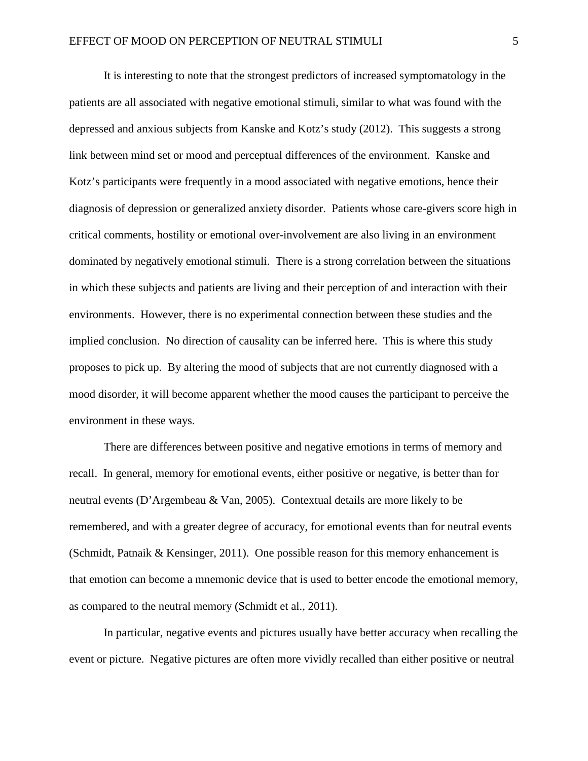It is interesting to note that the strongest predictors of increased symptomatology in the patients are all associated with negative emotional stimuli, similar to what was found with the depressed and anxious subjects from Kanske and Kotz's study (2012). This suggests a strong link between mind set or mood and perceptual differences of the environment. Kanske and Kotz's participants were frequently in a mood associated with negative emotions, hence their diagnosis of depression or generalized anxiety disorder. Patients whose care-givers score high in critical comments, hostility or emotional over-involvement are also living in an environment dominated by negatively emotional stimuli. There is a strong correlation between the situations in which these subjects and patients are living and their perception of and interaction with their environments. However, there is no experimental connection between these studies and the implied conclusion. No direction of causality can be inferred here. This is where this study proposes to pick up. By altering the mood of subjects that are not currently diagnosed with a mood disorder, it will become apparent whether the mood causes the participant to perceive the environment in these ways.

There are differences between positive and negative emotions in terms of memory and recall. In general, memory for emotional events, either positive or negative, is better than for neutral events (D'Argembeau & Van, 2005). Contextual details are more likely to be remembered, and with a greater degree of accuracy, for emotional events than for neutral events (Schmidt, Patnaik & Kensinger, 2011). One possible reason for this memory enhancement is that emotion can become a mnemonic device that is used to better encode the emotional memory, as compared to the neutral memory (Schmidt et al., 2011).

In particular, negative events and pictures usually have better accuracy when recalling the event or picture. Negative pictures are often more vividly recalled than either positive or neutral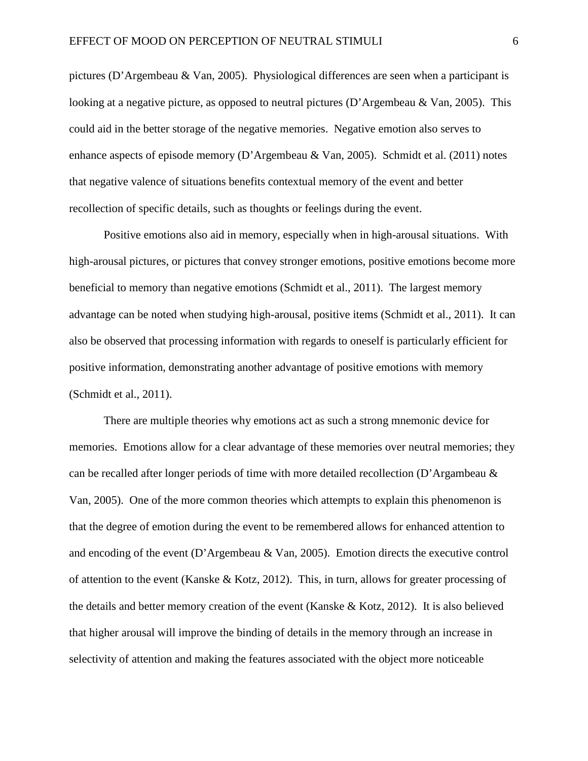pictures (D'Argembeau & Van, 2005). Physiological differences are seen when a participant is looking at a negative picture, as opposed to neutral pictures (D'Argembeau & Van, 2005). This could aid in the better storage of the negative memories. Negative emotion also serves to enhance aspects of episode memory (D'Argembeau & Van, 2005). Schmidt et al. (2011) notes that negative valence of situations benefits contextual memory of the event and better recollection of specific details, such as thoughts or feelings during the event.

Positive emotions also aid in memory, especially when in high-arousal situations. With high-arousal pictures, or pictures that convey stronger emotions, positive emotions become more beneficial to memory than negative emotions (Schmidt et al., 2011). The largest memory advantage can be noted when studying high-arousal, positive items (Schmidt et al., 2011). It can also be observed that processing information with regards to oneself is particularly efficient for positive information, demonstrating another advantage of positive emotions with memory (Schmidt et al., 2011).

There are multiple theories why emotions act as such a strong mnemonic device for memories. Emotions allow for a clear advantage of these memories over neutral memories; they can be recalled after longer periods of time with more detailed recollection (D'Argambeau & Van, 2005). One of the more common theories which attempts to explain this phenomenon is that the degree of emotion during the event to be remembered allows for enhanced attention to and encoding of the event (D'Argembeau & Van, 2005). Emotion directs the executive control of attention to the event (Kanske & Kotz, 2012). This, in turn, allows for greater processing of the details and better memory creation of the event (Kanske & Kotz, 2012). It is also believed that higher arousal will improve the binding of details in the memory through an increase in selectivity of attention and making the features associated with the object more noticeable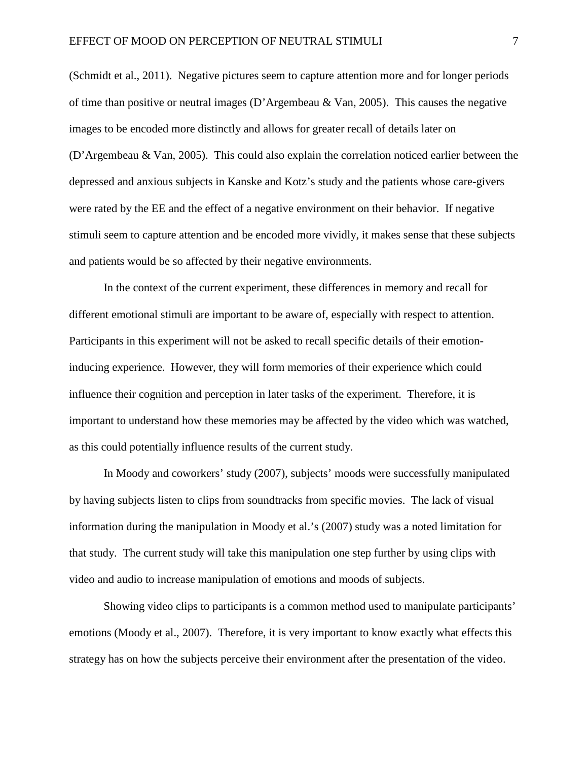(Schmidt et al., 2011). Negative pictures seem to capture attention more and for longer periods of time than positive or neutral images (D'Argembeau & Van, 2005). This causes the negative images to be encoded more distinctly and allows for greater recall of details later on (D'Argembeau & Van, 2005). This could also explain the correlation noticed earlier between the depressed and anxious subjects in Kanske and Kotz's study and the patients whose care-givers were rated by the EE and the effect of a negative environment on their behavior. If negative stimuli seem to capture attention and be encoded more vividly, it makes sense that these subjects and patients would be so affected by their negative environments.

In the context of the current experiment, these differences in memory and recall for different emotional stimuli are important to be aware of, especially with respect to attention. Participants in this experiment will not be asked to recall specific details of their emotioninducing experience. However, they will form memories of their experience which could influence their cognition and perception in later tasks of the experiment. Therefore, it is important to understand how these memories may be affected by the video which was watched, as this could potentially influence results of the current study.

In Moody and coworkers' study (2007), subjects' moods were successfully manipulated by having subjects listen to clips from soundtracks from specific movies. The lack of visual information during the manipulation in Moody et al.'s (2007) study was a noted limitation for that study. The current study will take this manipulation one step further by using clips with video and audio to increase manipulation of emotions and moods of subjects.

Showing video clips to participants is a common method used to manipulate participants' emotions (Moody et al., 2007). Therefore, it is very important to know exactly what effects this strategy has on how the subjects perceive their environment after the presentation of the video.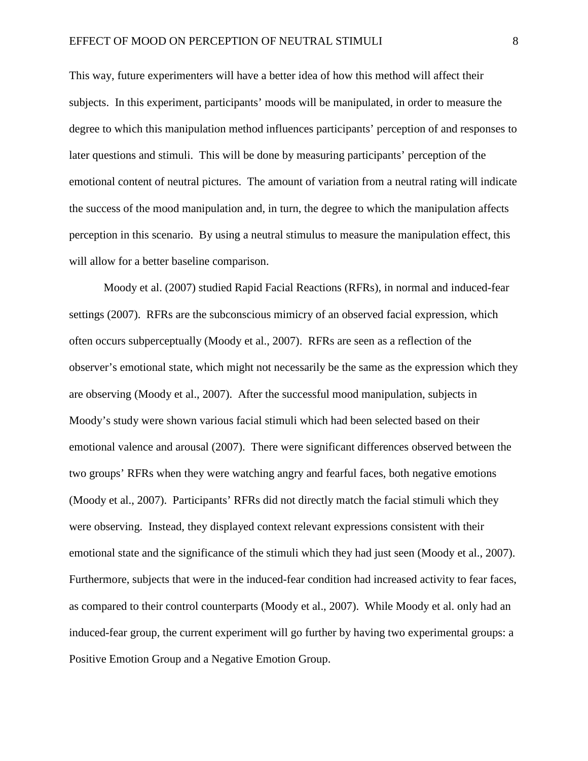This way, future experimenters will have a better idea of how this method will affect their subjects. In this experiment, participants' moods will be manipulated, in order to measure the degree to which this manipulation method influences participants' perception of and responses to later questions and stimuli. This will be done by measuring participants' perception of the emotional content of neutral pictures. The amount of variation from a neutral rating will indicate the success of the mood manipulation and, in turn, the degree to which the manipulation affects perception in this scenario. By using a neutral stimulus to measure the manipulation effect, this will allow for a better baseline comparison.

Moody et al. (2007) studied Rapid Facial Reactions (RFRs), in normal and induced-fear settings (2007). RFRs are the subconscious mimicry of an observed facial expression, which often occurs subperceptually (Moody et al., 2007). RFRs are seen as a reflection of the observer's emotional state, which might not necessarily be the same as the expression which they are observing (Moody et al., 2007). After the successful mood manipulation, subjects in Moody's study were shown various facial stimuli which had been selected based on their emotional valence and arousal (2007). There were significant differences observed between the two groups' RFRs when they were watching angry and fearful faces, both negative emotions (Moody et al., 2007). Participants' RFRs did not directly match the facial stimuli which they were observing. Instead, they displayed context relevant expressions consistent with their emotional state and the significance of the stimuli which they had just seen (Moody et al., 2007). Furthermore, subjects that were in the induced-fear condition had increased activity to fear faces, as compared to their control counterparts (Moody et al., 2007). While Moody et al. only had an induced-fear group, the current experiment will go further by having two experimental groups: a Positive Emotion Group and a Negative Emotion Group.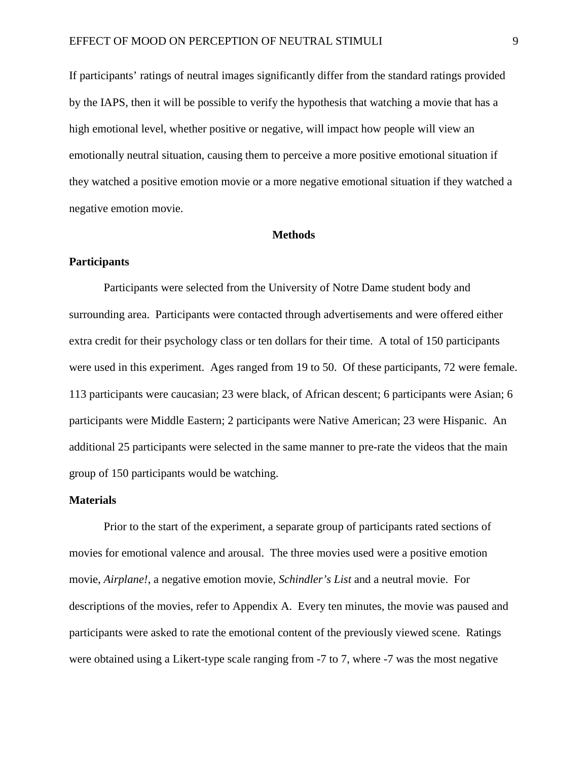If participants' ratings of neutral images significantly differ from the standard ratings provided by the IAPS, then it will be possible to verify the hypothesis that watching a movie that has a high emotional level, whether positive or negative, will impact how people will view an emotionally neutral situation, causing them to perceive a more positive emotional situation if they watched a positive emotion movie or a more negative emotional situation if they watched a negative emotion movie.

#### **Methods**

## **Participants**

Participants were selected from the University of Notre Dame student body and surrounding area. Participants were contacted through advertisements and were offered either extra credit for their psychology class or ten dollars for their time. A total of 150 participants were used in this experiment. Ages ranged from 19 to 50. Of these participants, 72 were female. 113 participants were caucasian; 23 were black, of African descent; 6 participants were Asian; 6 participants were Middle Eastern; 2 participants were Native American; 23 were Hispanic. An additional 25 participants were selected in the same manner to pre-rate the videos that the main group of 150 participants would be watching.

## **Materials**

Prior to the start of the experiment, a separate group of participants rated sections of movies for emotional valence and arousal. The three movies used were a positive emotion movie, *Airplane!*, a negative emotion movie, *Schindler's List* and a neutral movie. For descriptions of the movies, refer to Appendix A. Every ten minutes, the movie was paused and participants were asked to rate the emotional content of the previously viewed scene. Ratings were obtained using a Likert-type scale ranging from -7 to 7, where -7 was the most negative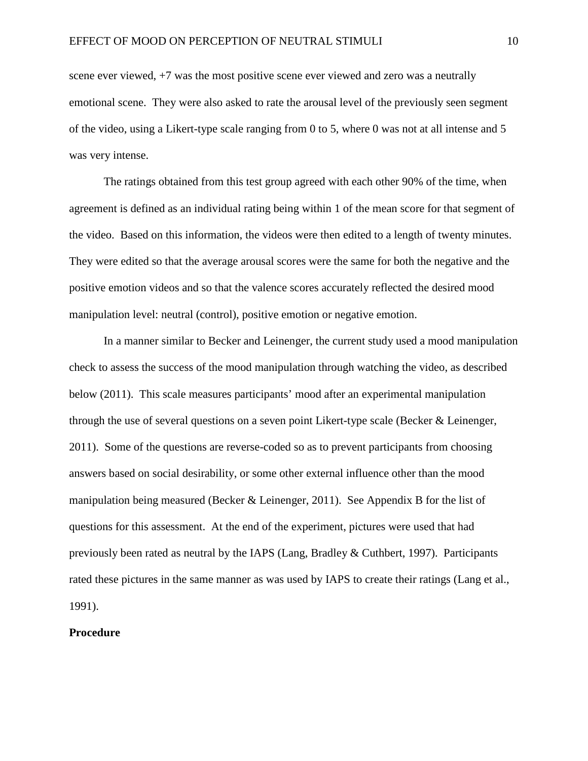scene ever viewed, +7 was the most positive scene ever viewed and zero was a neutrally emotional scene. They were also asked to rate the arousal level of the previously seen segment of the video, using a Likert-type scale ranging from 0 to 5, where 0 was not at all intense and 5 was very intense.

The ratings obtained from this test group agreed with each other 90% of the time, when agreement is defined as an individual rating being within 1 of the mean score for that segment of the video. Based on this information, the videos were then edited to a length of twenty minutes. They were edited so that the average arousal scores were the same for both the negative and the positive emotion videos and so that the valence scores accurately reflected the desired mood manipulation level: neutral (control), positive emotion or negative emotion.

In a manner similar to Becker and Leinenger, the current study used a mood manipulation check to assess the success of the mood manipulation through watching the video, as described below (2011). This scale measures participants' mood after an experimental manipulation through the use of several questions on a seven point Likert-type scale (Becker & Leinenger, 2011). Some of the questions are reverse-coded so as to prevent participants from choosing answers based on social desirability, or some other external influence other than the mood manipulation being measured (Becker & Leinenger, 2011). See Appendix B for the list of questions for this assessment. At the end of the experiment, pictures were used that had previously been rated as neutral by the IAPS (Lang, Bradley & Cuthbert, 1997). Participants rated these pictures in the same manner as was used by IAPS to create their ratings (Lang et al., 1991).

## **Procedure**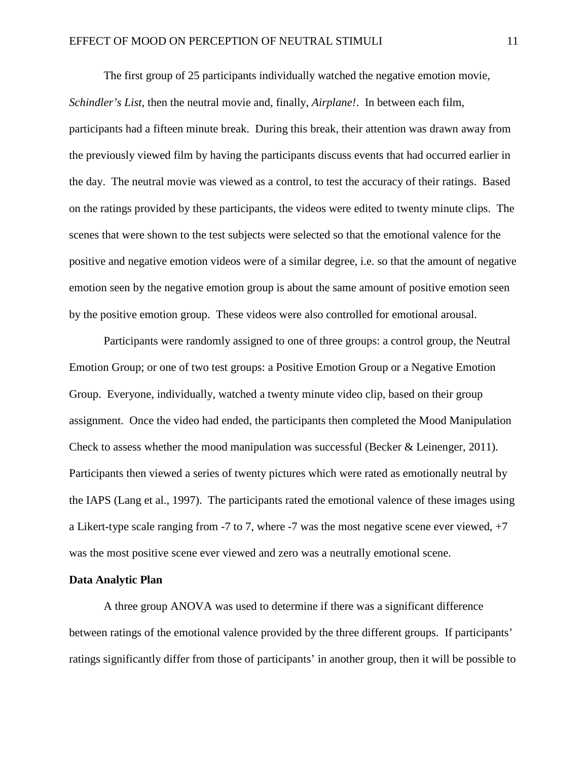The first group of 25 participants individually watched the negative emotion movie, *Schindler's List*, then the neutral movie and, finally, *Airplane!*. In between each film, participants had a fifteen minute break. During this break, their attention was drawn away from the previously viewed film by having the participants discuss events that had occurred earlier in the day. The neutral movie was viewed as a control, to test the accuracy of their ratings. Based on the ratings provided by these participants, the videos were edited to twenty minute clips. The scenes that were shown to the test subjects were selected so that the emotional valence for the positive and negative emotion videos were of a similar degree, i.e. so that the amount of negative emotion seen by the negative emotion group is about the same amount of positive emotion seen by the positive emotion group. These videos were also controlled for emotional arousal.

Participants were randomly assigned to one of three groups: a control group, the Neutral Emotion Group; or one of two test groups: a Positive Emotion Group or a Negative Emotion Group. Everyone, individually, watched a twenty minute video clip, based on their group assignment. Once the video had ended, the participants then completed the Mood Manipulation Check to assess whether the mood manipulation was successful (Becker & Leinenger, 2011). Participants then viewed a series of twenty pictures which were rated as emotionally neutral by the IAPS (Lang et al., 1997). The participants rated the emotional valence of these images using a Likert-type scale ranging from -7 to 7, where -7 was the most negative scene ever viewed, +7 was the most positive scene ever viewed and zero was a neutrally emotional scene.

#### **Data Analytic Plan**

A three group ANOVA was used to determine if there was a significant difference between ratings of the emotional valence provided by the three different groups. If participants' ratings significantly differ from those of participants' in another group, then it will be possible to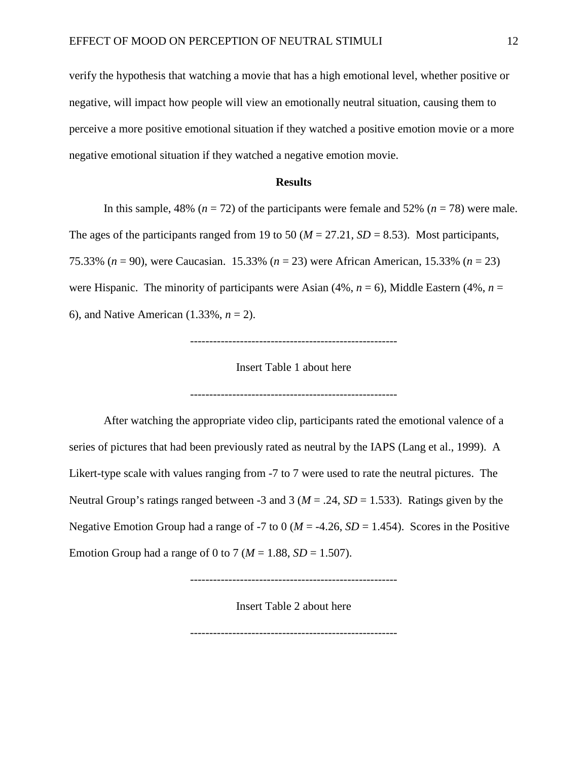verify the hypothesis that watching a movie that has a high emotional level, whether positive or negative, will impact how people will view an emotionally neutral situation, causing them to perceive a more positive emotional situation if they watched a positive emotion movie or a more negative emotional situation if they watched a negative emotion movie.

### **Results**

In this sample, 48% ( $n = 72$ ) of the participants were female and 52% ( $n = 78$ ) were male.

The ages of the participants ranged from 19 to 50 ( $M = 27.21$ ,  $SD = 8.53$ ). Most participants,

75.33% (*n* = 90), were Caucasian. 15.33% (*n* = 23) were African American, 15.33% (*n* = 23)

were Hispanic. The minority of participants were Asian  $(4\%, n = 6)$ , Middle Eastern  $(4\%, n = 6)$ 

6), and Native American (1.33%, *n* = 2).

------------------------------------------------------

Insert Table 1 about here

------------------------------------------------------

After watching the appropriate video clip, participants rated the emotional valence of a series of pictures that had been previously rated as neutral by the IAPS (Lang et al., 1999). A Likert-type scale with values ranging from -7 to 7 were used to rate the neutral pictures. The Neutral Group's ratings ranged between -3 and 3 (*M* = .24, *SD* = 1.533). Ratings given by the Negative Emotion Group had a range of -7 to 0 ( $M = -4.26$ ,  $SD = 1.454$ ). Scores in the Positive Emotion Group had a range of 0 to 7 ( $M = 1.88$ ,  $SD = 1.507$ ).

------------------------------------------------------

Insert Table 2 about here

------------------------------------------------------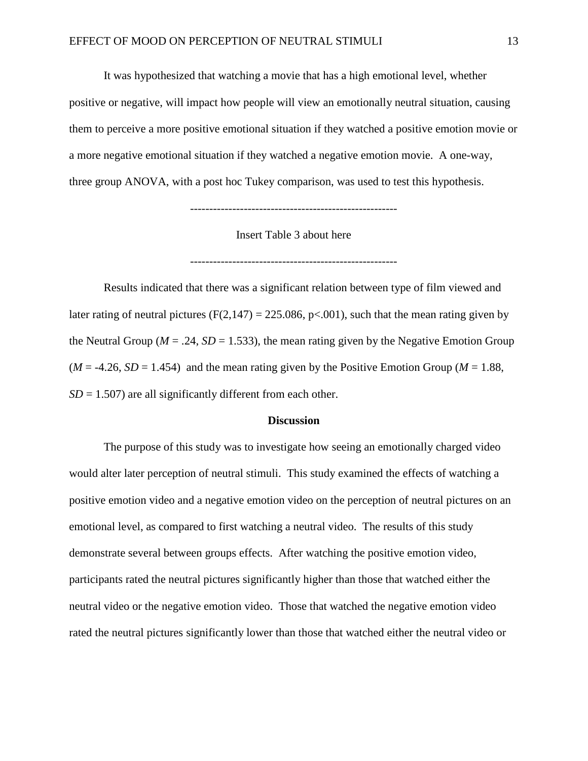It was hypothesized that watching a movie that has a high emotional level, whether positive or negative, will impact how people will view an emotionally neutral situation, causing them to perceive a more positive emotional situation if they watched a positive emotion movie or a more negative emotional situation if they watched a negative emotion movie. A one-way, three group ANOVA, with a post hoc Tukey comparison, was used to test this hypothesis.

------------------------------------------------------

Insert Table 3 about here

------------------------------------------------------

Results indicated that there was a significant relation between type of film viewed and later rating of neutral pictures ( $F(2,147) = 225.086$ ,  $p<.001$ ), such that the mean rating given by the Neutral Group ( $M = .24$ ,  $SD = 1.533$ ), the mean rating given by the Negative Emotion Group  $(M = -4.26, SD = 1.454)$  and the mean rating given by the Positive Emotion Group ( $M = 1.88$ ,  $SD = 1.507$  are all significantly different from each other.

#### **Discussion**

The purpose of this study was to investigate how seeing an emotionally charged video would alter later perception of neutral stimuli. This study examined the effects of watching a positive emotion video and a negative emotion video on the perception of neutral pictures on an emotional level, as compared to first watching a neutral video. The results of this study demonstrate several between groups effects. After watching the positive emotion video, participants rated the neutral pictures significantly higher than those that watched either the neutral video or the negative emotion video. Those that watched the negative emotion video rated the neutral pictures significantly lower than those that watched either the neutral video or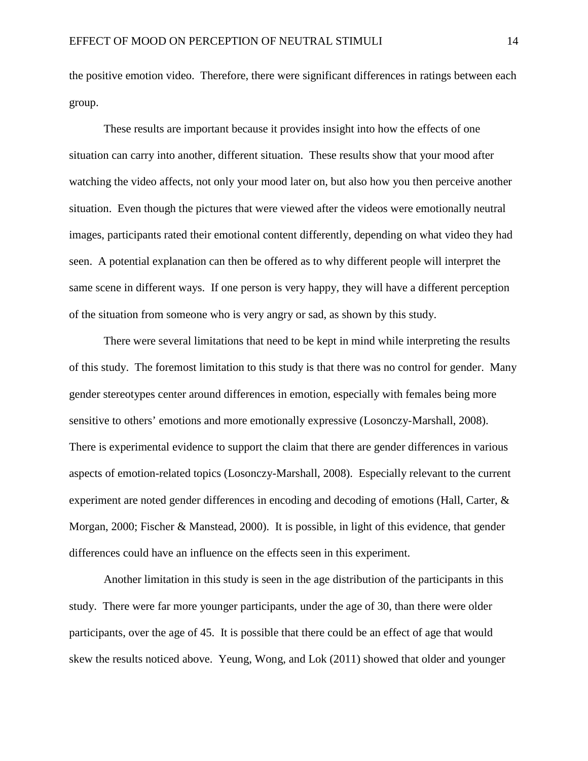the positive emotion video. Therefore, there were significant differences in ratings between each group.

These results are important because it provides insight into how the effects of one situation can carry into another, different situation. These results show that your mood after watching the video affects, not only your mood later on, but also how you then perceive another situation. Even though the pictures that were viewed after the videos were emotionally neutral images, participants rated their emotional content differently, depending on what video they had seen. A potential explanation can then be offered as to why different people will interpret the same scene in different ways. If one person is very happy, they will have a different perception of the situation from someone who is very angry or sad, as shown by this study.

There were several limitations that need to be kept in mind while interpreting the results of this study. The foremost limitation to this study is that there was no control for gender. Many gender stereotypes center around differences in emotion, especially with females being more sensitive to others' emotions and more emotionally expressive (Losonczy-Marshall, 2008). There is experimental evidence to support the claim that there are gender differences in various aspects of emotion-related topics (Losonczy-Marshall, 2008). Especially relevant to the current experiment are noted gender differences in encoding and decoding of emotions (Hall, Carter, & Morgan, 2000; Fischer & Manstead, 2000). It is possible, in light of this evidence, that gender differences could have an influence on the effects seen in this experiment.

Another limitation in this study is seen in the age distribution of the participants in this study. There were far more younger participants, under the age of 30, than there were older participants, over the age of 45. It is possible that there could be an effect of age that would skew the results noticed above. Yeung, Wong, and Lok (2011) showed that older and younger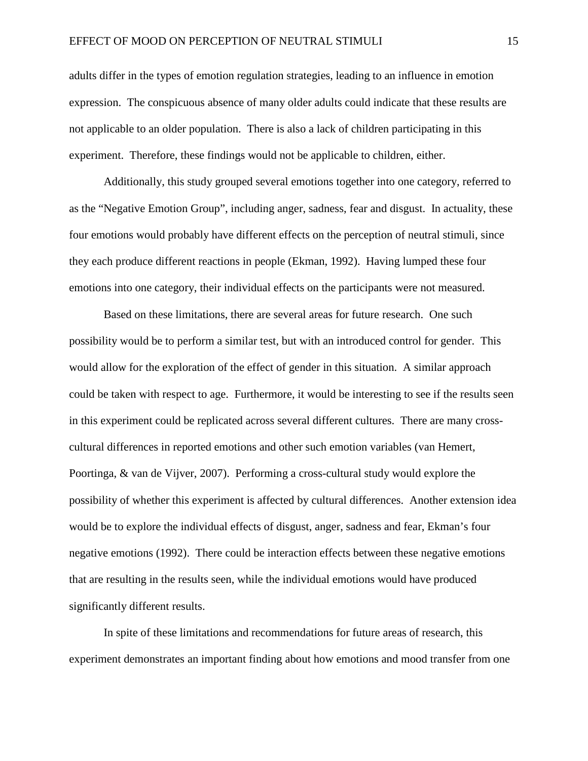adults differ in the types of emotion regulation strategies, leading to an influence in emotion expression. The conspicuous absence of many older adults could indicate that these results are not applicable to an older population. There is also a lack of children participating in this experiment. Therefore, these findings would not be applicable to children, either.

Additionally, this study grouped several emotions together into one category, referred to as the "Negative Emotion Group", including anger, sadness, fear and disgust. In actuality, these four emotions would probably have different effects on the perception of neutral stimuli, since they each produce different reactions in people (Ekman, 1992). Having lumped these four emotions into one category, their individual effects on the participants were not measured.

Based on these limitations, there are several areas for future research. One such possibility would be to perform a similar test, but with an introduced control for gender. This would allow for the exploration of the effect of gender in this situation. A similar approach could be taken with respect to age. Furthermore, it would be interesting to see if the results seen in this experiment could be replicated across several different cultures. There are many crosscultural differences in reported emotions and other such emotion variables (van Hemert, Poortinga, & van de Vijver, 2007). Performing a cross-cultural study would explore the possibility of whether this experiment is affected by cultural differences. Another extension idea would be to explore the individual effects of disgust, anger, sadness and fear, Ekman's four negative emotions (1992). There could be interaction effects between these negative emotions that are resulting in the results seen, while the individual emotions would have produced significantly different results.

In spite of these limitations and recommendations for future areas of research, this experiment demonstrates an important finding about how emotions and mood transfer from one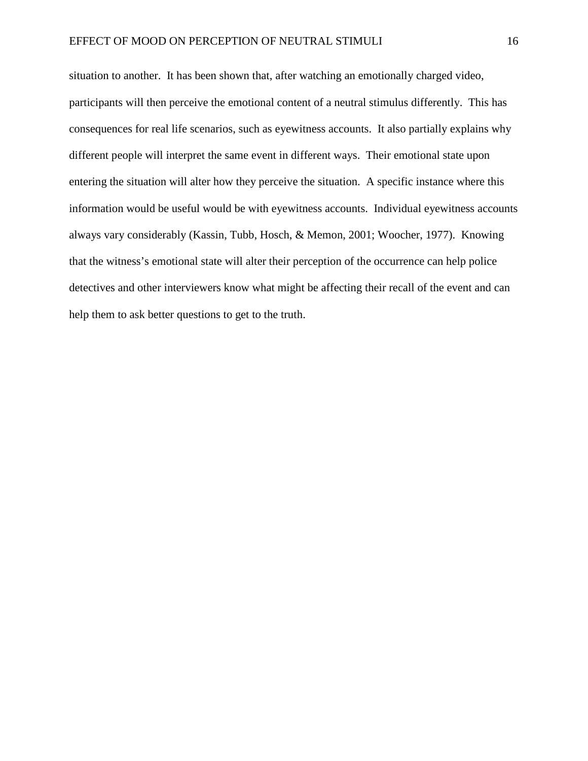situation to another. It has been shown that, after watching an emotionally charged video, participants will then perceive the emotional content of a neutral stimulus differently. This has consequences for real life scenarios, such as eyewitness accounts. It also partially explains why different people will interpret the same event in different ways. Their emotional state upon entering the situation will alter how they perceive the situation. A specific instance where this information would be useful would be with eyewitness accounts. Individual eyewitness accounts always vary considerably (Kassin, Tubb, Hosch, & Memon, 2001; Woocher, 1977). Knowing that the witness's emotional state will alter their perception of the occurrence can help police detectives and other interviewers know what might be affecting their recall of the event and can help them to ask better questions to get to the truth.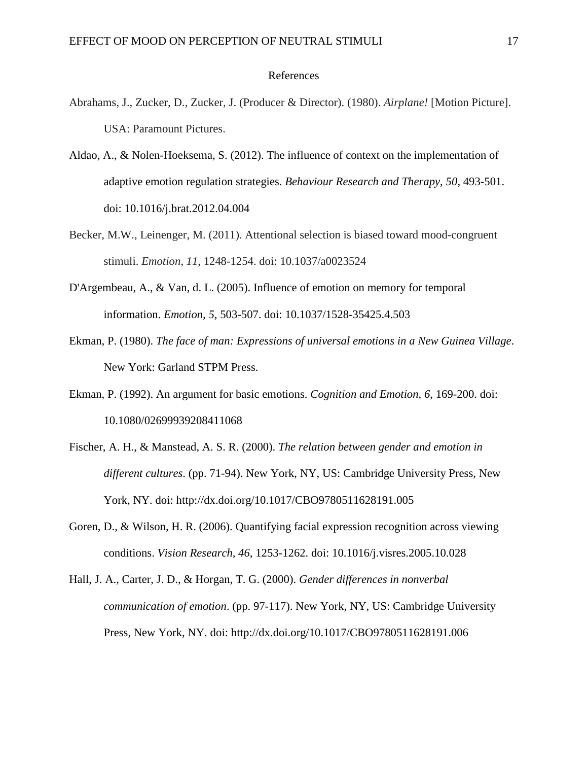#### References

- Abrahams, J., Zucker, D., Zucker, J. (Producer & Director). (1980). *Airplane!* [Motion Picture]. USA: Paramount Pictures.
- Aldao, A., & Nolen-Hoeksema, S. (2012). The influence of context on the implementation of adaptive emotion regulation strategies. *Behaviour Research and Therapy, 50*, 493-501. doi: 10.1016/j.brat.2012.04.004
- Becker, M.W., Leinenger, M. (2011). Attentional selection is biased toward mood-congruent stimuli. *Emotion, 11*, 1248-1254. doi: 10.1037/a0023524
- D'Argembeau, A., & Van, d. L. (2005). Influence of emotion on memory for temporal information. *Emotion, 5*, 503-507. doi: 10.1037/1528-35425.4.503
- Ekman, P. (1980). *The face of man: Expressions of universal emotions in a New Guinea Village*. New York: Garland STPM Press.
- Ekman, P. (1992). An argument for basic emotions. *Cognition and Emotion, 6*, 169-200. doi: 10.1080/02699939208411068
- Fischer, A. H., & Manstead, A. S. R. (2000). *The relation between gender and emotion in different cultures*. (pp. 71-94). New York, NY, US: Cambridge University Press, New York, NY. doi: http://dx.doi.org/10.1017/CBO9780511628191.005
- Goren, D., & Wilson, H. R. (2006). Quantifying facial expression recognition across viewing conditions. *Vision Research, 46*, 1253-1262. doi: 10.1016/j.visres.2005.10.028
- Hall, J. A., Carter, J. D., & Horgan, T. G. (2000). *Gender differences in nonverbal communication of emotion*. (pp. 97-117). New York, NY, US: Cambridge University Press, New York, NY. doi: http://dx.doi.org/10.1017/CBO9780511628191.006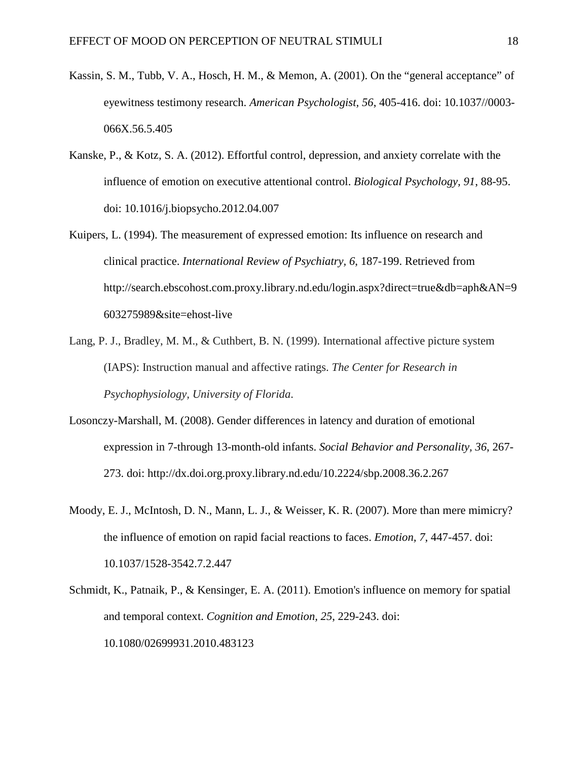- Kassin, S. M., Tubb, V. A., Hosch, H. M., & Memon, A. (2001). On the "general acceptance" of eyewitness testimony research. *American Psychologist, 56*, 405-416. doi: 10.1037//0003- 066X.56.5.405
- Kanske, P., & Kotz, S. A. (2012). Effortful control, depression, and anxiety correlate with the influence of emotion on executive attentional control. *Biological Psychology, 91*, 88-95. doi: 10.1016/j.biopsycho.2012.04.007
- Kuipers, L. (1994). The measurement of expressed emotion: Its influence on research and clinical practice. *International Review of Psychiatry, 6*, 187-199. Retrieved from http://search.ebscohost.com.proxy.library.nd.edu/login.aspx?direct=true&db=aph&AN=9 603275989&site=ehost-live
- Lang, P. J., Bradley, M. M., & Cuthbert, B. N. (1999). International affective picture system (IAPS): Instruction manual and affective ratings. *The Center for Research in Psychophysiology, University of Florida*.
- Losonczy-Marshall, M. (2008). Gender differences in latency and duration of emotional expression in 7-through 13-month-old infants. *Social Behavior and Personality, 36*, 267- 273. doi: http://dx.doi.org.proxy.library.nd.edu/10.2224/sbp.2008.36.2.267
- Moody, E. J., McIntosh, D. N., Mann, L. J., & Weisser, K. R. (2007). More than mere mimicry? the influence of emotion on rapid facial reactions to faces. *Emotion, 7*, 447-457. doi: 10.1037/1528-3542.7.2.447
- Schmidt, K., Patnaik, P., & Kensinger, E. A. (2011). Emotion's influence on memory for spatial and temporal context. *Cognition and Emotion, 25*, 229-243. doi: 10.1080/02699931.2010.483123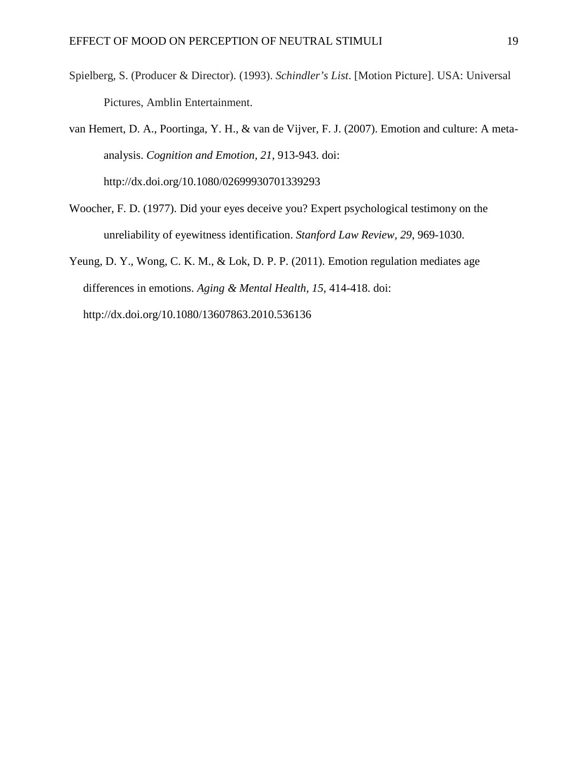- Spielberg, S. (Producer & Director). (1993). *Schindler's List*. [Motion Picture]. USA: Universal Pictures, Amblin Entertainment.
- van Hemert, D. A., Poortinga, Y. H., & van de Vijver, F. J. (2007). Emotion and culture: A metaanalysis. *Cognition and Emotion, 21*, 913-943. doi: http://dx.doi.org/10.1080/02699930701339293
- Woocher, F. D. (1977). Did your eyes deceive you? Expert psychological testimony on the unreliability of eyewitness identification. *Stanford Law Review, 29*, 969-1030.

Yeung, D. Y., Wong, C. K. M., & Lok, D. P. P. (2011). Emotion regulation mediates age differences in emotions. *Aging & Mental Health, 15*, 414-418. doi: http://dx.doi.org/10.1080/13607863.2010.536136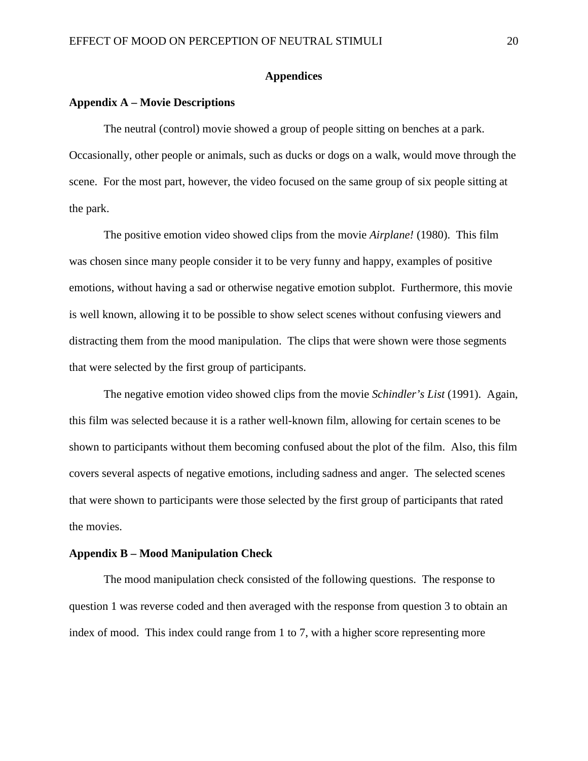## **Appendices**

### **Appendix A – Movie Descriptions**

The neutral (control) movie showed a group of people sitting on benches at a park. Occasionally, other people or animals, such as ducks or dogs on a walk, would move through the scene. For the most part, however, the video focused on the same group of six people sitting at the park.

The positive emotion video showed clips from the movie *Airplane!* (1980). This film was chosen since many people consider it to be very funny and happy, examples of positive emotions, without having a sad or otherwise negative emotion subplot. Furthermore, this movie is well known, allowing it to be possible to show select scenes without confusing viewers and distracting them from the mood manipulation. The clips that were shown were those segments that were selected by the first group of participants.

The negative emotion video showed clips from the movie *Schindler's List* (1991). Again, this film was selected because it is a rather well-known film, allowing for certain scenes to be shown to participants without them becoming confused about the plot of the film. Also, this film covers several aspects of negative emotions, including sadness and anger. The selected scenes that were shown to participants were those selected by the first group of participants that rated the movies.

#### **Appendix B – Mood Manipulation Check**

The mood manipulation check consisted of the following questions. The response to question 1 was reverse coded and then averaged with the response from question 3 to obtain an index of mood. This index could range from 1 to 7, with a higher score representing more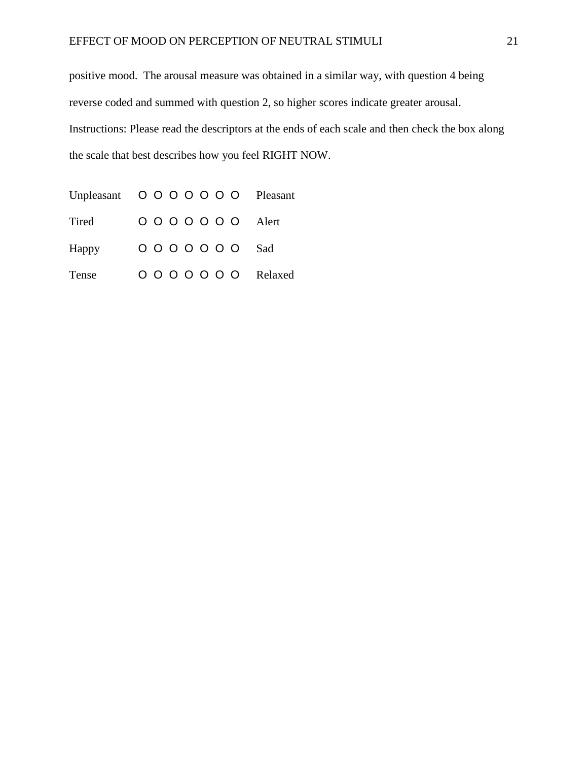positive mood. The arousal measure was obtained in a similar way, with question 4 being reverse coded and summed with question 2, so higher scores indicate greater arousal. Instructions: Please read the descriptors at the ends of each scale and then check the box along the scale that best describes how you feel RIGHT NOW.

Unpleasant O O O O O O O Pleasant Tired OOOOOOO Alert Happy OOOOOOO Sad Tense O O O O O O O Relaxed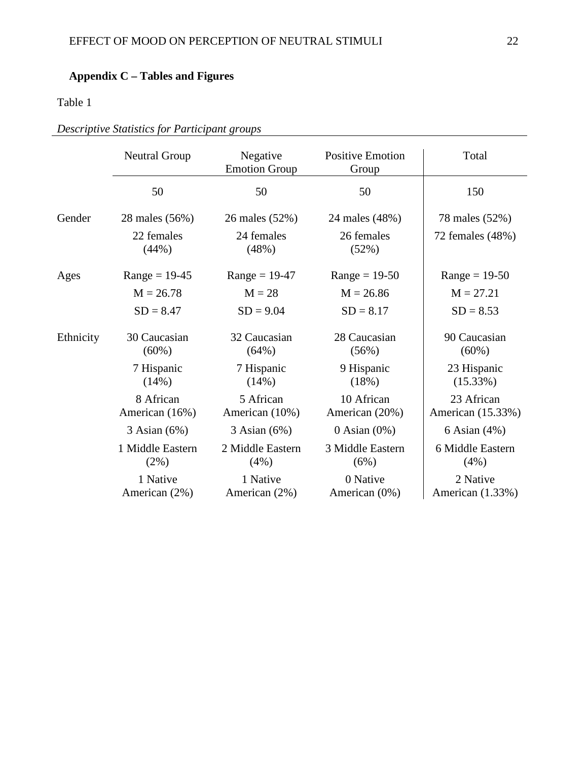# **Appendix C – Tables and Figures**

## Table 1

|           | <b>Neutral Group</b>        | Negative<br><b>Positive Emotion</b><br><b>Emotion Group</b><br>Group |                              | Total                           |  |
|-----------|-----------------------------|----------------------------------------------------------------------|------------------------------|---------------------------------|--|
|           | 50                          | 50                                                                   | 50                           | 150                             |  |
| Gender    | 28 males (56%)              | 26 males (52%)                                                       | 24 males (48%)               | 78 males (52%)                  |  |
|           | 22 females<br>(44%)         | 24 females<br>(48%)                                                  | 26 females<br>(52%)          | 72 females (48%)                |  |
| Ages      | $Range = 19-45$             | $Range = 19-47$                                                      | $Range = 19-50$              | $Range = 19-50$                 |  |
|           | $M = 26.78$                 | $M = 28$                                                             | $M = 26.86$                  | $M = 27.21$                     |  |
|           | $SD = 8.47$                 | $SD = 9.04$                                                          | $SD = 8.17$                  | $SD = 8.53$                     |  |
| Ethnicity | 30 Caucasian<br>$(60\%)$    | 32 Caucasian<br>(64%)                                                | 28 Caucasian<br>(56%)        | 90 Caucasian<br>$(60\%)$        |  |
|           | 7 Hispanic<br>(14%)         | 7 Hispanic<br>(14%)                                                  | 9 Hispanic<br>(18%)          | 23 Hispanic<br>(15.33%)         |  |
|           | 8 African<br>American (16%) | 5 African<br>American (10%)                                          | 10 African<br>American (20%) | 23 African<br>American (15.33%) |  |
|           | 3 Asian (6%)                | $3$ Asian $(6%)$                                                     | $0$ Asian $(0\%)$            | 6 Asian (4%)                    |  |
|           | 1 Middle Eastern<br>$(2\%)$ | 2 Middle Eastern<br>$(4\%)$                                          | 3 Middle Eastern<br>(6%)     | 6 Middle Eastern<br>$(4\%)$     |  |
|           | 1 Native<br>American (2%)   | 1 Native<br>American (2%)                                            | 0 Native<br>American (0%)    | 2 Native<br>American (1.33%)    |  |

*Descriptive Statistics for Participant groups*